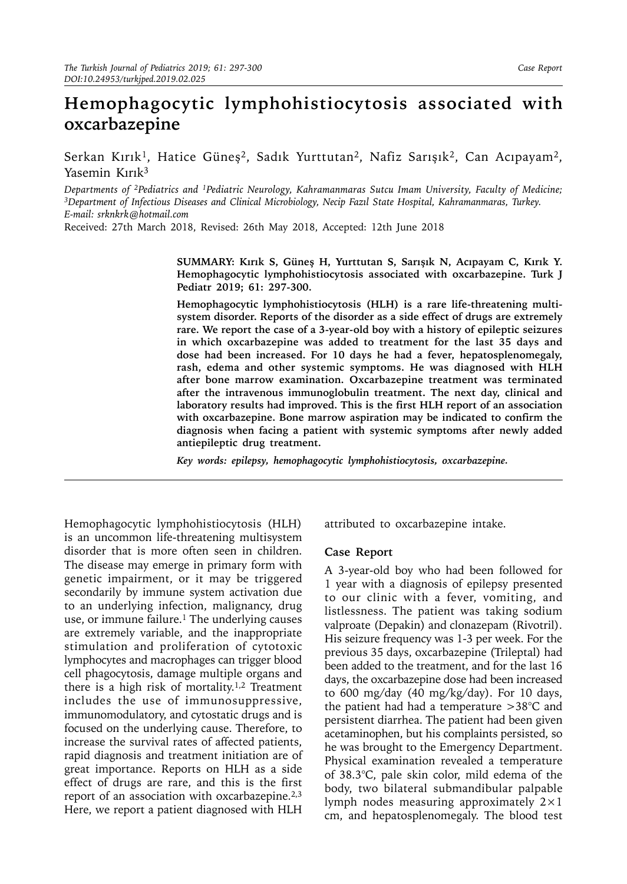## **Hemophagocytic lymphohistiocytosis associated with oxcarbazepine**

Serkan Kırık<sup>1</sup>, Hatice Güneş<sup>2</sup>, Sadık Yurttutan<sup>2</sup>, Nafiz Sarışık<sup>2</sup>, Can Acıpayam<sup>2</sup>, Yasemin Kırık<sup>3</sup>

Departments of <sup>2</sup>Pediatrics and <sup>1</sup>Pediatric Neurology, Kahramanmaras Sutcu Imam University, Faculty of Medicine;<br><sup>3</sup>Department of Infectious Diseases and Clinical Microbiology, Necip Fazıl State Hospital, Kahramanmaras, *E-mail: [srknkrk@hotmail.com](mailto:srknkrk@hotmail.com)*

Received: 27th March 2018, Revised: 26th May 2018, Accepted: 12th June 2018

**SUMMARY: Kırık S, Güneş H, Yurttutan S, Sarışık N, Acıpayam C, Kırık Y. Hemophagocytic lymphohistiocytosis associated with oxcarbazepine. Turk J Pediatr 2019; 61: 297-300.** 

**Hemophagocytic lymphohistiocytosis (HLH) is a rare life-threatening multisystem disorder. Reports of the disorder as a side effect of drugs are extremely rare. We report the case of a 3-year-old boy with a history of epileptic seizures in which oxcarbazepine was added to treatment for the last 35 days and dose had been increased. For 10 days he had a fever, hepatosplenomegaly, rash, edema and other systemic symptoms. He was diagnosed with HLH after bone marrow examination. Oxcarbazepine treatment was terminated after the intravenous immunoglobulin treatment. The next day, clinical and laboratory results had improved. This is the first HLH report of an association with oxcarbazepine. Bone marrow aspiration may be indicated to confirm the diagnosis when facing a patient with systemic symptoms after newly added antiepileptic drug treatment.**

*Key words: epilepsy, hemophagocytic lymphohistiocytosis, oxcarbazepine.*

Hemophagocytic lymphohistiocytosis (HLH) is an uncommon life-threatening multisystem disorder that is more often seen in children. The disease may emerge in primary form with genetic impairment, or it may be triggered secondarily by immune system activation due to an underlying infection, malignancy, drug use, or immune failure.<sup>1</sup> The underlying causes are extremely variable, and the inappropriate stimulation and proliferation of cytotoxic lymphocytes and macrophages can trigger blood cell phagocytosis, damage multiple organs and there is a high risk of mortality.<sup>1,2</sup> Treatment includes the use of immunosuppressive, immunomodulatory, and cytostatic drugs and is focused on the underlying cause. Therefore, to increase the survival rates of affected patients, rapid diagnosis and treatment initiation are of great importance. Reports on HLH as a side effect of drugs are rare, and this is the first report of an association with oxcarbazepine.<sup>2,3</sup> Here, we report a patient diagnosed with HLH

attributed to oxcarbazepine intake.

## **Case Report**

A 3-year-old boy who had been followed for 1 year with a diagnosis of epilepsy presented to our clinic with a fever, vomiting, and listlessness. The patient was taking sodium valproate (Depakin) and clonazepam (Rivotril). His seizure frequency was 1-3 per week. For the previous 35 days, oxcarbazepine (Trileptal) had been added to the treatment, and for the last 16 days, the oxcarbazepine dose had been increased to 600 mg/day (40 mg/kg/day). For 10 days, the patient had had a temperature  $>38^{\circ}$ C and persistent diarrhea. The patient had been given acetaminophen, but his complaints persisted, so he was brought to the Emergency Department. Physical examination revealed a temperature of 38.3°C, pale skin color, mild edema of the body, two bilateral submandibular palpable lymph nodes measuring approximately 2×1 cm, and hepatosplenomegaly. The blood test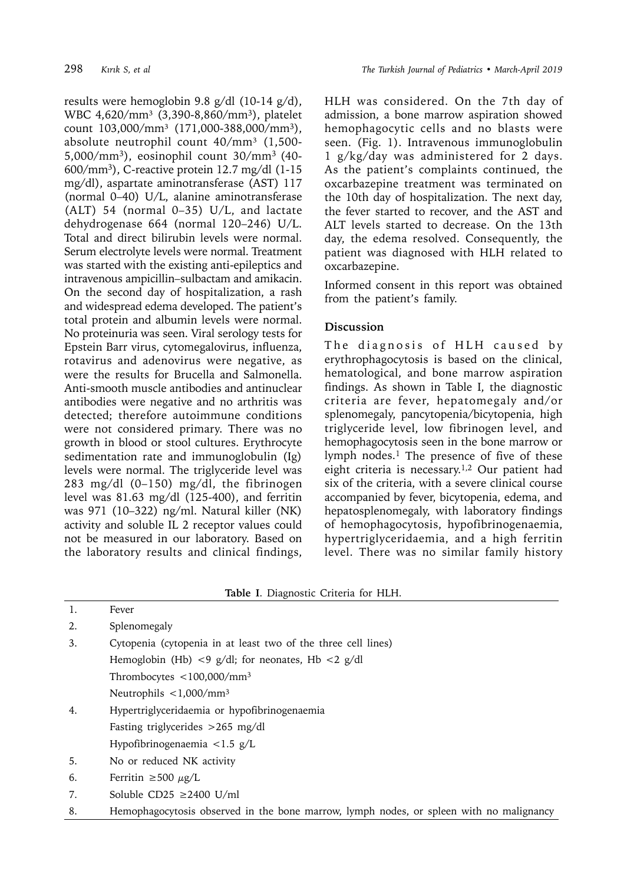results were hemoglobin 9.8 g/dl (10-14 g/d), WBC 4,620/mm<sup>3</sup> (3,390-8,860/mm<sup>3</sup>), platelet count 103,000/mm<sup>3</sup> (171,000-388,000/mm<sup>3</sup>), absolute neutrophil count  $40/mm^3$  (1,500-5,000/mm3), eosinophil count 30/mm3 (40- 600/mm3), C-reactive protein 12.7 mg/dl (1-15 mg/dl), aspartate aminotransferase (AST) 117 (normal 0–40) U/L, alanine aminotransferase (ALT) 54 (normal 0–35) U/L, and lactate dehydrogenase 664 (normal 120–246) U/L. Total and direct bilirubin levels were normal. Serum electrolyte levels were normal. Treatment was started with the existing anti-epileptics and intravenous ampicillin–sulbactam and amikacin. On the second day of hospitalization, a rash and widespread edema developed. The patient's total protein and albumin levels were normal. No proteinuria was seen. Viral serology tests for Epstein Barr virus, cytomegalovirus, influenza, rotavirus and adenovirus were negative, as were the results for Brucella and Salmonella. Anti-smooth muscle antibodies and antinuclear antibodies were negative and no arthritis was detected; therefore autoimmune conditions were not considered primary. There was no growth in blood or stool cultures. Erythrocyte sedimentation rate and immunoglobulin (Ig) levels were normal. The triglyceride level was 283 mg/dl (0–150) mg/dl, the fibrinogen level was 81.63 mg/dl (125-400), and ferritin was 971 (10–322) ng/ml. Natural killer (NK) activity and soluble IL 2 receptor values could not be measured in our laboratory. Based on the laboratory results and clinical findings,

HLH was considered. On the 7th day of admission, a bone marrow aspiration showed hemophagocytic cells and no blasts were seen. (Fig. 1). Intravenous immunoglobulin 1 g/kg/day was administered for 2 days. As the patient's complaints continued, the oxcarbazepine treatment was terminated on the 10th day of hospitalization. The next day, the fever started to recover, and the AST and ALT levels started to decrease. On the 13th day, the edema resolved. Consequently, the patient was diagnosed with HLH related to oxcarbazepine.

Informed consent in this report was obtained from the patient's family.

## **Discussion**

The diagnosis of HLH caused by erythrophagocytosis is based on the clinical, hematological, and bone marrow aspiration findings. As shown in Table I, the diagnostic criteria are fever, hepatomegaly and/or splenomegaly, pancytopenia/bicytopenia, high triglyceride level, low fibrinogen level, and hemophagocytosis seen in the bone marrow or lymph nodes.<sup>1</sup> The presence of five of these eight criteria is necessary.1,2 Our patient had six of the criteria, with a severe clinical course accompanied by fever, bicytopenia, edema, and hepatosplenomegaly, with laboratory findings of hemophagocytosis, hypofibrinogenaemia, hypertriglyceridaemia, and a high ferritin level. There was no similar family history

| Table I. Diagnostic Criteria for HLH. |                                                               |
|---------------------------------------|---------------------------------------------------------------|
| 1.                                    | Fever                                                         |
| 2.                                    | Splenomegaly                                                  |
| 3.                                    | Cytopenia (cytopenia in at least two of the three cell lines) |
|                                       | Hemoglobin (Hb) <9 g/dl; for neonates, Hb <2 g/dl             |
|                                       | Thrombocytes $\langle$ 100,000/mm <sup>3</sup>                |
|                                       | Neutrophils $\langle 1,000/mm^3 \rangle$                      |
| 4.                                    | Hypertriglyceridaemia or hypofibrinogenaemia                  |
|                                       | Fasting triglycerides $>265$ mg/dl                            |
|                                       | Hypofibrinogenaemia $\langle 1.5 \text{ g/L} \rangle$         |
| 5.                                    | No or reduced NK activity                                     |
| 6.                                    | Ferritin $\geq 500 \mu g/L$                                   |
| 7.                                    | Soluble CD25 ≥2400 U/ml                                       |

8. Hemophagocytosis observed in the bone marrow, lymph nodes, or spleen with no malignancy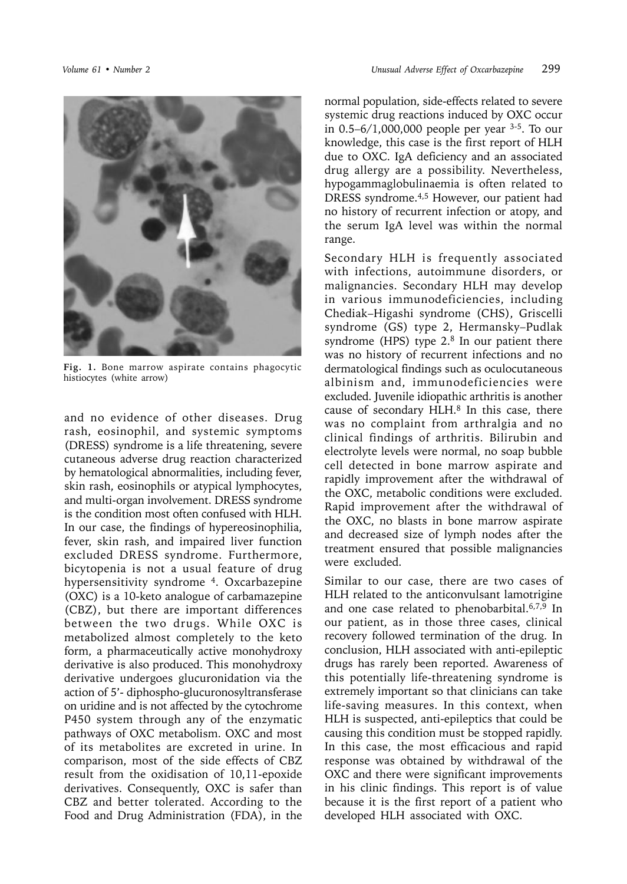

**Fig. 1.** Bone marrow aspirate contains phagocytic histiocytes (white arrow)

and no evidence of other diseases. Drug rash, eosinophil, and systemic symptoms (DRESS) syndrome is a life threatening, severe cutaneous adverse drug reaction characterized by hematological abnormalities, including fever, skin rash, eosinophils or atypical lymphocytes, and multi-organ involvement. DRESS syndrome is the condition most often confused with HLH. In our case, the findings of hypereosinophilia, fever, skin rash, and impaired liver function excluded DRESS syndrome. Furthermore, bicytopenia is not a usual feature of drug hypersensitivity syndrome 4. Oxcarbazepine (OXC) is a 10-keto analogue of carbamazepine (CBZ), but there are important differences between the two drugs. While OXC is metabolized almost completely to the keto form, a pharmaceutically active monohydroxy derivative is also produced. This monohydroxy derivative undergoes glucuronidation via the action of 5'- diphospho-glucuronosyltransferase on uridine and is not affected by the cytochrome P450 system through any of the enzymatic pathways of OXC metabolism. OXC and most of its metabolites are excreted in urine. In comparison, most of the side effects of CBZ result from the oxidisation of 10,11-epoxide derivatives. Consequently, OXC is safer than CBZ and better tolerated. According to the Food and Drug Administration (FDA), in the

normal population, side-effects related to severe systemic drug reactions induced by OXC occur in 0.5–6/1,000,000 people per year 3-5. To our knowledge, this case is the first report of HLH due to OXC. IgA deficiency and an associated drug allergy are a possibility. Nevertheless, hypogammaglobulinaemia is often related to DRESS syndrome.<sup>4,5</sup> However, our patient had no history of recurrent infection or atopy, and the serum IgA level was within the normal range.

Secondary HLH is frequently associated with infections, autoimmune disorders, or malignancies. Secondary HLH may develop in various immunodeficiencies, including Chediak–Higashi syndrome (CHS), Griscelli syndrome (GS) type 2, Hermansky–Pudlak syndrome (HPS) type 2.8 In our patient there was no history of recurrent infections and no dermatological findings such as oculocutaneous albinism and, immunodeficiencies were excluded. Juvenile idiopathic arthritis is another cause of secondary  $HLH<sup>8</sup>$  In this case, there was no complaint from arthralgia and no clinical findings of arthritis. Bilirubin and electrolyte levels were normal, no soap bubble cell detected in bone marrow aspirate and rapidly improvement after the withdrawal of the OXC, metabolic conditions were excluded. Rapid improvement after the withdrawal of the OXC, no blasts in bone marrow aspirate and decreased size of lymph nodes after the treatment ensured that possible malignancies were excluded.

Similar to our case, there are two cases of HLH related to the anticonvulsant lamotrigine and one case related to phenobarbital.6,7,9 In our patient, as in those three cases, clinical recovery followed termination of the drug. In conclusion, HLH associated with anti-epileptic drugs has rarely been reported. Awareness of this potentially life-threatening syndrome is extremely important so that clinicians can take life-saving measures. In this context, when HLH is suspected, anti-epileptics that could be causing this condition must be stopped rapidly. In this case, the most efficacious and rapid response was obtained by withdrawal of the OXC and there were significant improvements in his clinic findings. This report is of value because it is the first report of a patient who developed HLH associated with OXC.